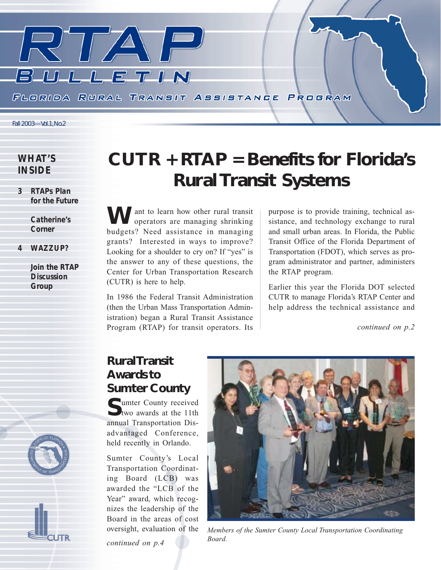

### *WHAT'S INSIDE*

*3 RTAPs Plan for the Future*

> *Catherine's Corner*

*4 WAZZUP?*

*Join the RTAP Discussion Group*

# *CUTR + RTAP = Benefits for Florida's Rural Transit Systems*

**Ant to learn how other rural transit** *S* operators are managing shrinking budgets? Need assistance in managing grants? Interested in ways to improve? Looking for a shoulder to cry on? If "yes" is the answer to any of these questions, the Center for Urban Transportation Research (CUTR) is here to help.

In 1986 the Federal Transit Administration (then the Urban Mass Transportation Administration) began a Rural Transit Assistance Program (RTAP) for transit operators. Its purpose is to provide training, technical assistance, and technology exchange to rural and small urban areas. In Florida, the Public Transit Office of the Florida Department of Transportation (FDOT), which serves as program administrator and partner, administers the RTAP program.

Earlier this year the Florida DOT selected CUTR to manage Florida's RTAP Center and help address the technical assistance and

*continued on p.2*

## *Rural Transit Awards to Sumter County*

**Cumter County received** two awards at the 11th annual Transportation Disadvantaged Conference, held recently in Orlando.

Sumter County's Local Transportation Coordinating Board (LCB) was awarded the "LCB of the Year" award, which recognizes the leadership of the Board in the areas of cost

*continued on p.4*



oversight, evaluation of the *Members of the Sumter County Local Transportation Coordinating Board.*

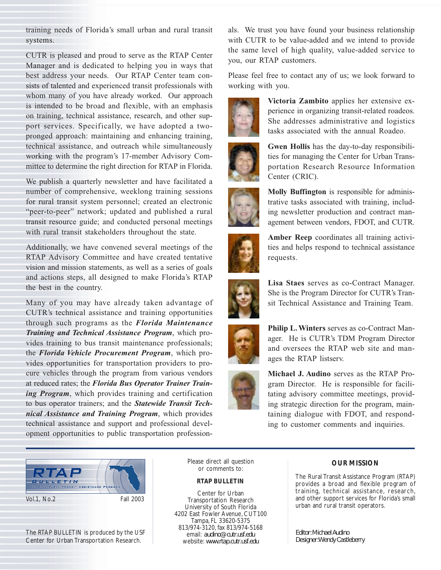training needs of Florida's small urban and rural transit systems.

CUTR is pleased and proud to serve as the RTAP Center Manager and is dedicated to helping you in ways that best address your needs. Our RTAP Center team consists of talented and experienced transit professionals with whom many of you have already worked. Our approach is intended to be broad and flexible, with an emphasis on training, technical assistance, research, and other support services. Specifically, we have adopted a twopronged approach: maintaining and enhancing training, technical assistance, and outreach while simultaneously working with the program's 17-member Advisory Committee to determine the right direction for RTAP in Florida.

We publish a quarterly newsletter and have facilitated a number of comprehensive, weeklong training sessions for rural transit system personnel; created an electronic "peer-to-peer" network; updated and published a rural transit resource guide; and conducted personal meetings with rural transit stakeholders throughout the state.

Additionally, we have convened several meetings of the RTAP Advisory Committee and have created tentative vision and mission statements, as well as a series of goals and actions steps, all designed to make Florida's RTAP the best in the country.

Many of you may have already taken advantage of CUTR's technical assistance and training opportunities through such programs as the *Florida Maintenance Training and Technical Assistance Program*, which provides training to bus transit maintenance professionals; the *Florida Vehicle Procurement Program*, which provides opportunities for transportation providers to procure vehicles through the program from various vendors at reduced rates; the *Florida Bus Operator Trainer Training Program*, which provides training and certification to bus operator trainers; and the *Statewide Transit Technical Assistance and Training Program*, which provides technical assistance and support and professional development opportunities to public transportation professionals. We trust you have found your business relationship with CUTR to be value-added and we intend to provide the same level of high quality, value-added service to you, our RTAP customers.

Please feel free to contact any of us; we look forward to working with you.



**Victoria Zambito** applies her extensive experience in organizing transit-related roadeos. She addresses administrative and logistics tasks associated with the annual Roadeo.



**Gwen Hollis** has the day-to-day responsibilities for managing the Center for Urban Transportation Research Resource Information Center (CRIC).



**Molly Buffington** is responsible for administrative tasks associated with training, including newsletter production and contract management between vendors, FDOT, and CUTR.



**Amber Reep** coordinates all training activities and helps respond to technical assistance requests.



**Lisa Staes** serves as co-Contract Manager. She is the Program Director for CUTR's Transit Technical Assistance and Training Team.



**Philip L. Winters** serves as co-Contract Manager. He is CUTR's TDM Program Director and oversees the RTAP web site and manages the RTAP listserv.

**Michael J. Audino** serves as the RTAP Program Director. He is responsible for facilitating advisory committee meetings, providing strategic direction for the program, maintaining dialogue with FDOT, and responding to customer comments and inquiries.



The RTAP BULLETIN is produced by the USF Center for Urban Transportation Research.

Please direct all question or comments to:

### *RTAP BULLETIN*

Center for Urban Transportation Research University of South Florida 4202 East Fowler Avenue, CUT100 Tampa, FL 33620-5375 813/974-3120, fax 813/974-5168 email: *audino@cutr.usf.edu* website: *www.rtap.cutr.usf.edu*

### *OUR MISSION*

The Rural Transit Assistance Program (RTAP) provides a broad and flexible program of training, technical assistance, research, and other support services for Florida's small urban and rural transit operators.

*Editor: Michael Audino Designer: Wendy Castleberry*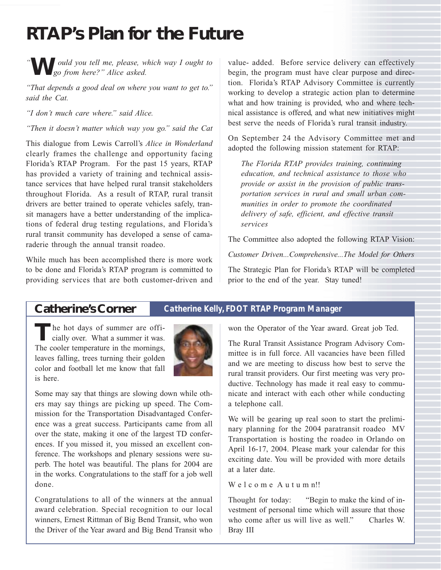## *RTAP's Plan for the Future*

*"* **W***ould you tell me, please, which way I ought to go from here?" Alice asked.* 

*"That depends a good deal on where you want to get to." said the Cat.*

*"I don't much care where." said Alice.*

*"Then it doesn't matter which way you go." said the Cat*

This dialogue from Lewis Carroll's *Alice in Wonderland* clearly frames the challenge and opportunity facing Florida's RTAP Program. For the past 15 years, RTAP has provided a variety of training and technical assistance services that have helped rural transit stakeholders throughout Florida. As a result of RTAP, rural transit drivers are better trained to operate vehicles safely, transit managers have a better understanding of the implications of federal drug testing regulations, and Florida's rural transit community has developed a sense of camaraderie through the annual transit roadeo.

While much has been accomplished there is more work to be done and Florida's RTAP program is committed to providing services that are both customer-driven and

value- added. Before service delivery can effectively begin, the program must have clear purpose and direction. Florida's RTAP Advisory Committee is currently working to develop a strategic action plan to determine what and how training is provided, who and where technical assistance is offered, and what new initiatives might best serve the needs of Florida's rural transit industry.

On September 24 the Advisory Committee met and adopted the following mission statement for RTAP:

*The Florida RTAP provides training, continuing education, and technical assistance to those who provide or assist in the provision of public transportation services in rural and small urban communities in order to promote the coordinated delivery of safe, efficient, and effective transit services*

The Committee also adopted the following RTAP Vision:

*Customer Driven...Comprehensive...The Model for Others*

The Strategic Plan for Florida's RTAP will be completed prior to the end of the year. Stay tuned!

### *Catherine's Corner Catherine Kelly, FDOT RTAP Program Manager*

The hot days of summer are officially over. What a summer it was. The cooler temperature in the mornings, leaves falling, trees turning their golden color and football let me know that fall is here.



Some may say that things are slowing down while others may say things are picking up speed. The Commission for the Transportation Disadvantaged Conference was a great success. Participants came from all over the state, making it one of the largest TD conferences. If you missed it, you missed an excellent conference. The workshops and plenary sessions were superb. The hotel was beautiful. The plans for 2004 are in the works. Congratulations to the staff for a job well done.

Congratulations to all of the winners at the annual award celebration. Special recognition to our local winners, Ernest Rittman of Big Bend Transit, who won the Driver of the Year award and Big Bend Transit who

won the Operator of the Year award. Great job Ted.

The Rural Transit Assistance Program Advisory Committee is in full force. All vacancies have been filled and we are meeting to discuss how best to serve the rural transit providers. Our first meeting was very productive. Technology has made it real easy to communicate and interact with each other while conducting a telephone call.

We will be gearing up real soon to start the preliminary planning for the 2004 paratransit roadeo MV Transportation is hosting the roadeo in Orlando on April 16-17, 2004. Please mark your calendar for this exciting date. You will be provided with more details at a later date.

### We l c o m e A u t u m n!!

Thought for today: "Begin to make the kind of investment of personal time which will assure that those who come after us will live as well." Charles W. Bray III